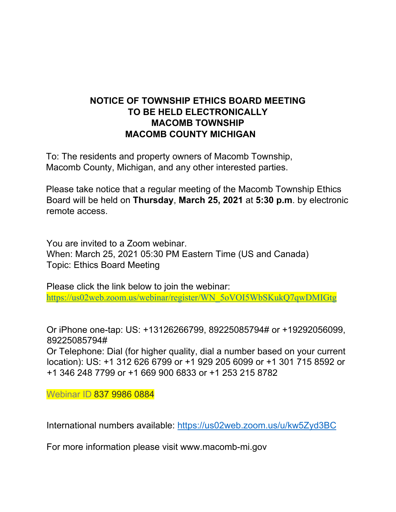## **NOTICE OF TOWNSHIP ETHICS BOARD MEETING TO BE HELD ELECTRONICALLY MACOMB TOWNSHIP MACOMB COUNTY MICHIGAN**

To: The residents and property owners of Macomb Township, Macomb County, Michigan, and any other interested parties.

Please take notice that a regular meeting of the Macomb Township Ethics Board will be held on **Thursday**, **March 25, 2021** at **5:30 p.m**. by electronic remote access.

You are invited to a Zoom webinar. When: March 25, 2021 05:30 PM Eastern Time (US and Canada) Topic: Ethics Board Meeting

Please click the link below to join the webinar: https://us02web.zoom.us/webinar/register/WN\_5oVOI5WbSKukQ7qwDMIGtg

Or iPhone one-tap: US: +13126266799, 89225085794# or +19292056099, 89225085794#

Or Telephone: Dial (for higher quality, dial a number based on your current location): US: +1 312 626 6799 or +1 929 205 6099 or +1 301 715 8592 or +1 346 248 7799 or +1 669 900 6833 or +1 253 215 8782

Webinar ID 837 9986 0884

International numbers available: https://us02web.zoom.us/u/kw5Zyd3BC

For more information please visit www.macomb-mi.gov